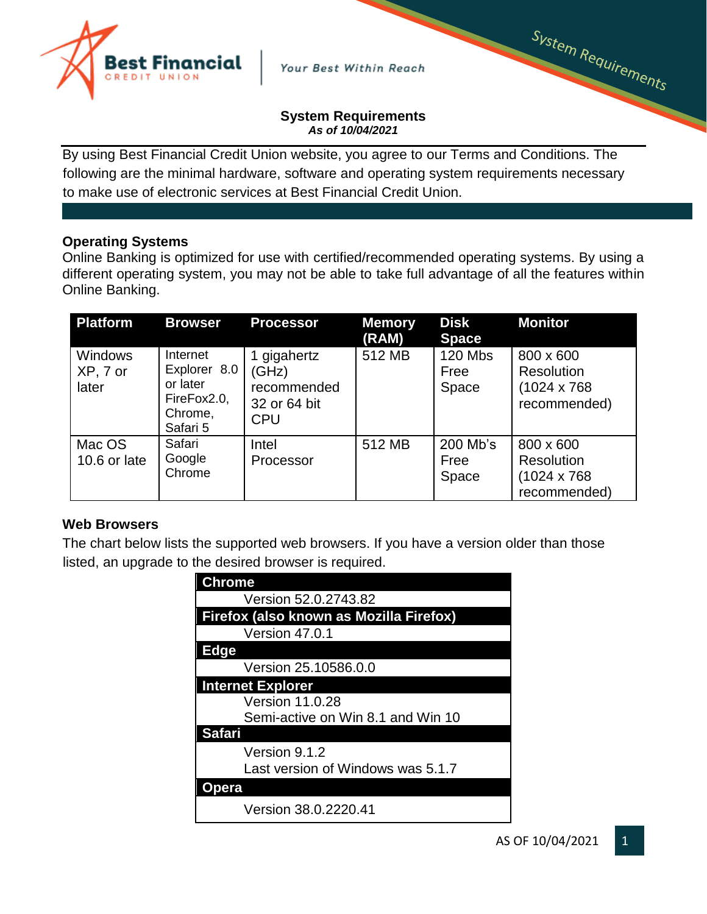

Your Best Within Reach

#### **System Requirements** *As of 10/04/2021*

By using Best Financial Credit Union website, you agree to our Terms and Conditions. The following are the minimal hardware, software and operating system requirements necessary to make use of electronic services at Best Financial Credit Union.

## **Operating Systems**

Online Banking is optimized for use with certified/recommended operating systems. By using a different operating system, you may not be able to take full advantage of all the features within Online Banking.

| <b>Platform</b>                     | <b>Browser</b>                                                             | <b>Processor</b>                                                  | <b>Memory</b><br>(RAM) | <b>Disk</b><br><b>Space</b>     | <b>Monitor</b>                                                        |
|-------------------------------------|----------------------------------------------------------------------------|-------------------------------------------------------------------|------------------------|---------------------------------|-----------------------------------------------------------------------|
| <b>Windows</b><br>XP, 7 or<br>later | Internet<br>Explorer 8.0<br>or later<br>FireFox2.0,<br>Chrome,<br>Safari 5 | 1 gigahertz<br>(GHz)<br>recommended<br>32 or 64 bit<br><b>CPU</b> | 512 MB                 | <b>120 Mbs</b><br>Free<br>Space | 800 x 600<br><b>Resolution</b><br>$(1024 \times 768)$<br>recommended) |
| Mac OS<br>10.6 or late              | Safari<br>Google<br>Chrome                                                 | Intel<br>Processor                                                | 512 MB                 | 200 Mb's<br>Free<br>Space       | 800 x 600<br><b>Resolution</b><br>$(1024 \times 768)$<br>recommended) |

### **Web Browsers**

The chart below lists the supported web browsers. If you have a version older than those listed, an upgrade to the desired browser is required.

| <b>Chrome</b>                           |  |  |  |  |
|-----------------------------------------|--|--|--|--|
| Version 52.0.2743.82                    |  |  |  |  |
| Firefox (also known as Mozilla Firefox) |  |  |  |  |
| Version 47.0.1                          |  |  |  |  |
| <b>Edge</b>                             |  |  |  |  |
| Version 25.10586.0.0                    |  |  |  |  |
| <b>Internet Explorer</b>                |  |  |  |  |
| <b>Version 11.0.28</b>                  |  |  |  |  |
| Semi-active on Win 8.1 and Win 10       |  |  |  |  |
| <b>Safari</b>                           |  |  |  |  |
| Version 9.1.2                           |  |  |  |  |
| Last version of Windows was 5.1.7       |  |  |  |  |
| pera                                    |  |  |  |  |
| Version 38.0.2220.41                    |  |  |  |  |

System Requirements